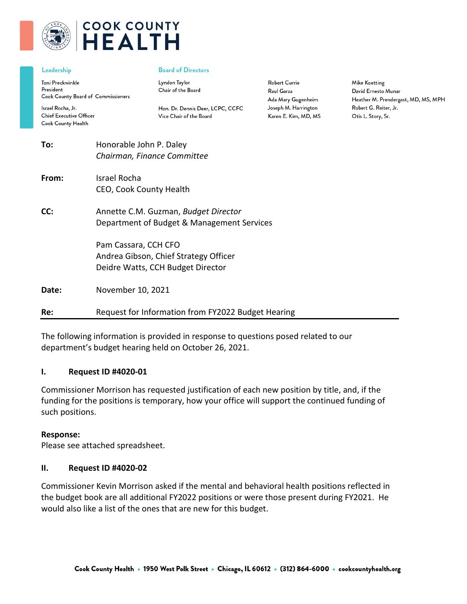

# **COOK COUNTY HEALTH**

#### Leadership

Toni Preckwinkle President Cook County Board of Commissioners

Israel Rocha, Jr. **Chief Executive Officer** Cook County Health

#### **Board of Directors**

Lyndon Taylor Chair of the Board

Hon. Dr. Dennis Deer, LCPC, CCFC Vice Chair of the Board

**Robert Currie** Raul Garza Ada Mary Gugenheim Joseph M. Harrington Karen E. Kim, MD, MS

Mike Koetting David Ernesto Munar Heather M. Prendergast, MD, MS, MPH Robert G. Reiter, Jr. Otis L. Story, Sr.

| To:   | Honorable John P. Daley<br>Chairman, Finance Committee                                             |  |
|-------|----------------------------------------------------------------------------------------------------|--|
| From: | Israel Rocha<br>CEO, Cook County Health                                                            |  |
| CC:   | Annette C.M. Guzman, Budget Director<br>Department of Budget & Management Services                 |  |
|       | Pam Cassara, CCH CFO<br>Andrea Gibson, Chief Strategy Officer<br>Deidre Watts, CCH Budget Director |  |
| Date: | November 10, 2021                                                                                  |  |
| Re:   | Request for Information from FY2022 Budget Hearing                                                 |  |

The following information is provided in response to questions posed related to our department's budget hearing held on October 26, 2021.

#### **I. Request ID #4020-01**

Commissioner Morrison has requested justification of each new position by title, and, if the funding for the positions is temporary, how your office will support the continued funding of such positions.

#### **Response:**

Please see attached spreadsheet.

#### **II. Request ID #4020-02**

Commissioner Kevin Morrison asked if the mental and behavioral health positions reflected in the budget book are all additional FY2022 positions or were those present during FY2021. He would also like a list of the ones that are new for this budget.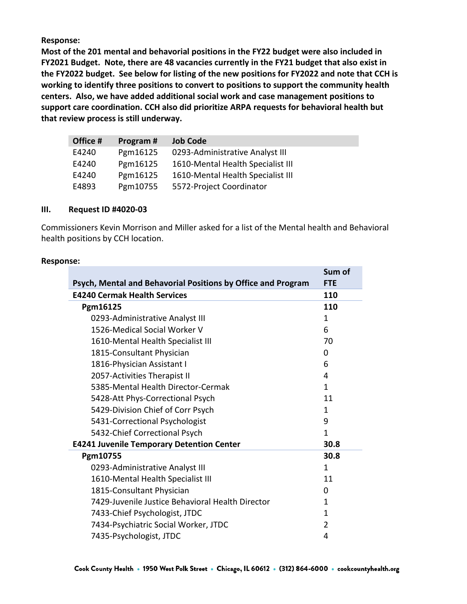**Most of the 201 mental and behavorial positions in the FY22 budget were also included in FY2021 Budget. Note, there are 48 vacancies currently in the FY21 budget that also exist in the FY2022 budget. See below for listing of the new positions for FY2022 and note that CCH is working to identify three positions to convert to positions to support the community health centers. Also, we have added additional social work and case management positions to support care coordination. CCH also did prioritize ARPA requests for behavioral health but that review process is still underway.** 

| Office # | Program# | <b>Job Code</b>                   |
|----------|----------|-----------------------------------|
| E4240    | Pgm16125 | 0293-Administrative Analyst III   |
| E4240    | Pgm16125 | 1610-Mental Health Specialist III |
| E4240    | Pgm16125 | 1610-Mental Health Specialist III |
| E4893    | Pgm10755 | 5572-Project Coordinator          |

### **III. Request ID #4020-03**

Commissioners Kevin Morrison and Miller asked for a list of the Mental health and Behavioral health positions by CCH location.

### **Response:**

| Psych, Mental and Behavorial Positions by Office and Program |              |  |  |
|--------------------------------------------------------------|--------------|--|--|
| <b>E4240 Cermak Health Services</b>                          | 110          |  |  |
| Pgm16125                                                     | 110          |  |  |
| 0293-Administrative Analyst III                              | 1            |  |  |
| 1526-Medical Social Worker V                                 | 6            |  |  |
| 1610-Mental Health Specialist III                            | 70           |  |  |
| 1815-Consultant Physician                                    | $\Omega$     |  |  |
| 1816-Physician Assistant I                                   | 6            |  |  |
| 2057-Activities Therapist II                                 | 4            |  |  |
| 5385-Mental Health Director-Cermak                           | $\mathbf{1}$ |  |  |
| 5428-Att Phys-Correctional Psych                             | 11           |  |  |
| 5429-Division Chief of Corr Psych                            | 1            |  |  |
| 5431-Correctional Psychologist                               | 9            |  |  |
| 5432-Chief Correctional Psych                                | 1            |  |  |
| <b>E4241 Juvenile Temporary Detention Center</b>             | 30.8         |  |  |
| Pgm10755                                                     | 30.8         |  |  |
| 0293-Administrative Analyst III                              | 1            |  |  |
| 1610-Mental Health Specialist III                            | 11           |  |  |
| 1815-Consultant Physician                                    | 0            |  |  |
| 7429-Juvenile Justice Behavioral Health Director             | 1            |  |  |
| 7433-Chief Psychologist, JTDC                                | 1            |  |  |
| 7434-Psychiatric Social Worker, JTDC                         | 2            |  |  |
| 7435-Psychologist, JTDC                                      | 4            |  |  |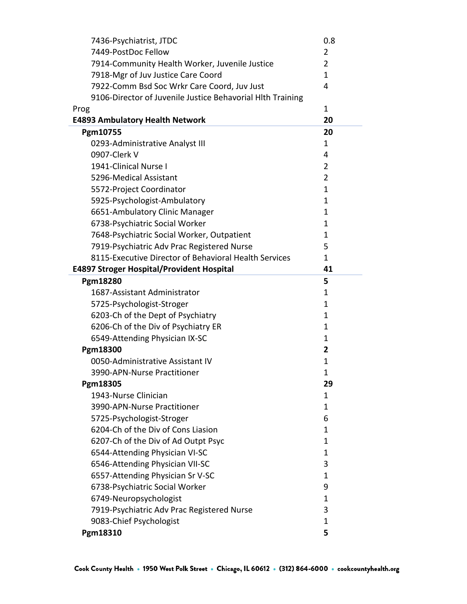| 7436-Psychiatrist, JTDC                                    | 0.8            |
|------------------------------------------------------------|----------------|
| 7449-PostDoc Fellow                                        | $\overline{2}$ |
| 7914-Community Health Worker, Juvenile Justice             | $\overline{2}$ |
| 7918-Mgr of Juv Justice Care Coord                         | $\mathbf{1}$   |
| 7922-Comm Bsd Soc Wrkr Care Coord, Juv Just                | 4              |
| 9106-Director of Juvenile Justice Behavorial Hlth Training |                |
| Prog                                                       | 1              |
| <b>E4893 Ambulatory Health Network</b>                     | 20             |
| Pgm10755                                                   | 20             |
| 0293-Administrative Analyst III                            | 1              |
| 0907-Clerk V                                               | 4              |
| 1941-Clinical Nurse I                                      | 2              |
| 5296-Medical Assistant                                     | $\overline{2}$ |
| 5572-Project Coordinator                                   | 1              |
| 5925-Psychologist-Ambulatory                               | 1              |
| 6651-Ambulatory Clinic Manager                             | 1              |
| 6738-Psychiatric Social Worker                             | 1              |
| 7648-Psychiatric Social Worker, Outpatient                 | 1              |
| 7919-Psychiatric Adv Prac Registered Nurse                 | 5              |
| 8115-Executive Director of Behavioral Health Services      | $\mathbf{1}$   |
| <b>E4897 Stroger Hospital/Provident Hospital</b>           | 41             |
| Pgm18280                                                   | 5              |
| 1687-Assistant Administrator                               | 1              |
| 5725-Psychologist-Stroger                                  | 1              |
| 6203-Ch of the Dept of Psychiatry                          | 1              |
| 6206-Ch of the Div of Psychiatry ER                        | $\mathbf{1}$   |
| 6549-Attending Physician IX-SC                             | $\mathbf{1}$   |
| Pgm18300                                                   | 2              |
| 0050-Administrative Assistant IV                           | 1              |
| 3990-APN-Nurse Practitioner                                | $\mathbf{1}$   |
| Pgm18305                                                   | 29             |
| 1943-Nurse Clinician                                       | $\mathbf{1}$   |
| 3990-APN-Nurse Practitioner                                | 1              |
| 5725-Psychologist-Stroger                                  | 6              |
| 6204-Ch of the Div of Cons Liasion                         | $\mathbf{1}$   |
| 6207-Ch of the Div of Ad Outpt Psyc                        | $\mathbf{1}$   |
| 6544-Attending Physician VI-SC                             | $\mathbf{1}$   |
| 6546-Attending Physician VII-SC                            | 3              |
| 6557-Attending Physician Sr V-SC                           | $\mathbf{1}$   |
| 6738-Psychiatric Social Worker                             | 9              |
| 6749-Neuropsychologist                                     | $\mathbf{1}$   |
| 7919-Psychiatric Adv Prac Registered Nurse                 | 3              |
| 9083-Chief Psychologist                                    | $\mathbf{1}$   |
| Pgm18310                                                   | 5              |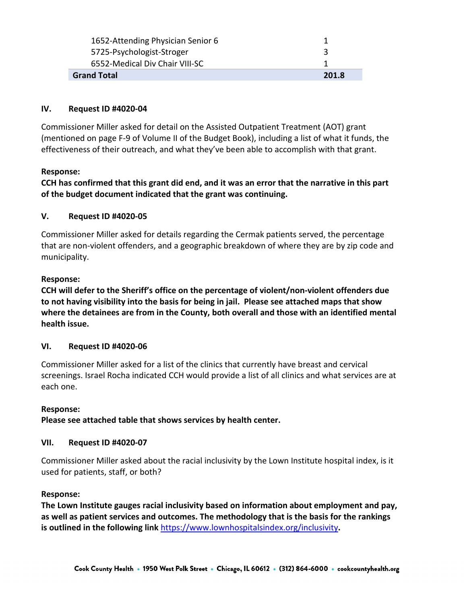| <b>Grand Total</b>                | 201.8 |
|-----------------------------------|-------|
| 6552-Medical Div Chair VIII-SC    |       |
| 5725-Psychologist-Stroger         |       |
| 1652-Attending Physician Senior 6 |       |
|                                   |       |

### **IV. Request ID #4020-04**

Commissioner Miller asked for detail on the Assisted Outpatient Treatment (AOT) grant (mentioned on page F-9 of Volume II of the Budget Book), including a list of what it funds, the effectiveness of their outreach, and what they've been able to accomplish with that grant.

### **Response:**

**CCH has confirmed that this grant did end, and it was an error that the narrative in this part of the budget document indicated that the grant was continuing.**

### **V. Request ID #4020-05**

Commissioner Miller asked for details regarding the Cermak patients served, the percentage that are non-violent offenders, and a geographic breakdown of where they are by zip code and municipality.

### **Response:**

**CCH will defer to the Sheriff's office on the percentage of violent/non-violent offenders due to not having visibility into the basis for being in jail. Please see attached maps that show where the detainees are from in the County, both overall and those with an identified mental health issue.**

# **VI. Request ID #4020-06**

Commissioner Miller asked for a list of the clinics that currently have breast and cervical screenings. Israel Rocha indicated CCH would provide a list of all clinics and what services are at each one.

### **Response:**

**Please see attached table that shows services by health center.**

### **VII. Request ID #4020-07**

Commissioner Miller asked about the racial inclusivity by the Lown Institute hospital index, is it used for patients, staff, or both?

### **Response:**

**The Lown Institute gauges racial inclusivity based on information about employment and pay, as well as patient services and outcomes. The methodology that is the basis for the rankings is outlined in the following link** <https://www.lownhospitalsindex.org/inclusivity>**.**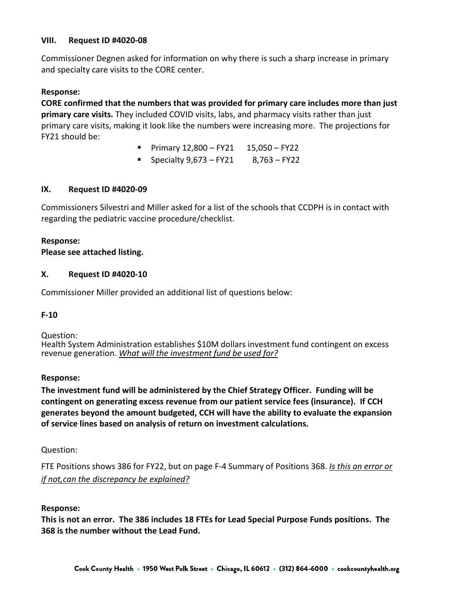### **VIII. Request ID #4020-08**

Commissioner Degnen asked for information on why there is such a sharp increase in primary and specialty care visits to the CORE center.

### **Response:**

**CORE confirmed that the numbers that was provided for primary care includes more than just primary care visits.** They included COVID visits, labs, and pharmacy visits rather than just primary care visits, making it look like the numbers were increasing more. The projections for FY21 should be:

- **Primary 12,800 FY21 15,050 FY22**
- Specialty 9,673 FY21 8,763 FY22

### **IX. Request ID #4020-09**

Commissioners Silvestri and Miller asked for a list of the schools that CCDPH is in contact with regarding the pediatric vaccine procedure/checklist.

### **Response:**

**Please see attached listing.** 

### **X. Request ID #4020-10**

Commissioner Miller provided an additional list of questions below:

#### **F-10**

Question: Health System Administration establishes \$10M dollars investment fund contingent on excess revenue generation. *What will the investment fund be used for?* 

#### **Response:**

**The investment fund will be administered by the Chief Strategy Officer. Funding will be contingent on generating excess revenue from our patient service fees (insurance). If CCH generates beyond the amount budgeted, CCH will have the ability to evaluate the expansion of service lines based on analysis of return on investment calculations.**

#### Question:

FTE Positions shows 386 for FY22, but on page F-4 Summary of Positions 368. *Is this an error or if not,can the discrepancy be explained?* 

#### **Response:**

**This is not an error. The 386 includes 18 FTEs for Lead Special Purpose Funds positions. The 368 is the number without the Lead Fund.**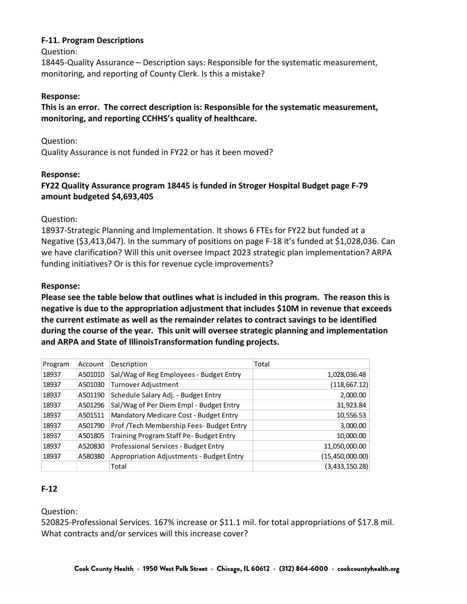### **F-11. Program Descriptions**

Question:

18445-Quality Assurance – Description says: Responsible for the systematic measurement, monitoring, and reporting of County Clerk. Is this a mistake?

### **Response:**

**This is an error. The correct description is: Responsible for the systematic measurement, monitoring, and reporting CCHHS's quality of healthcare.**

Question:

Quality Assurance is not funded in FY22 or has it been moved?

### **Response:**

# **FY22 Quality Assurance program 18445 is funded in Stroger Hospital Budget page F-79 amount budgeted \$4,693,405**

Question:

18937-Strategic Planning and Implementation. It shows 6 FTEs for FY22 but funded at a Negative (\$3,413,047). In the summary of positions on page F-18 it's funded at \$1,028,036. Can we have clarification? Will this unit oversee Impact 2023 strategic plan implementation? ARPA funding initiatives? Or is this for revenue cycle improvements?

### **Response:**

**Please see the table below that outlines what is included in this program. The reason this is negative is due to the appropriation adjustment that includes \$10M in revenue that exceeds the current estimate as well as the remainder relates to contract savings to be identified during the course of the year. This unit will oversee strategic planning and implementation and ARPA and State of IllinoisTransformation funding projects.** 

| Program | Account | Description                              | Total             |
|---------|---------|------------------------------------------|-------------------|
| 18937   | A501010 | Sal/Wag of Reg Employees - Budget Entry  | 1,028,036.48      |
| 18937   | A501030 | Turnover Adjustment                      | (118, 667.12)     |
| 18937   | A501190 | Schedule Salary Adj. - Budget Entry      | 2,000.00          |
| 18937   | A501296 | Sal/Wag of Per Diem Empl - Budget Entry  | 31,923.84         |
| 18937   | A501511 | Mandatory Medicare Cost - Budget Entry   | 10,556.53         |
| 18937   | A501790 | Prof /Tech Membership Fees- Budget Entry | 3,000.00          |
| 18937   | A501805 | Training Program Staff Pe- Budget Entry  | 10,000.00         |
| 18937   | A520830 | Professional Services - Budget Entry     | 11,050,000.00     |
| 18937   | A580380 | Appropriation Adjustments - Budget Entry | (15, 450, 000.00) |
|         |         | Total                                    | (3,433,150.28)    |

# **F-12**

Question:

520825-Professional Services. 167% increase or \$11.1 mil. for total appropriations of \$17.8 mil. What contracts and/or services will this increase cover?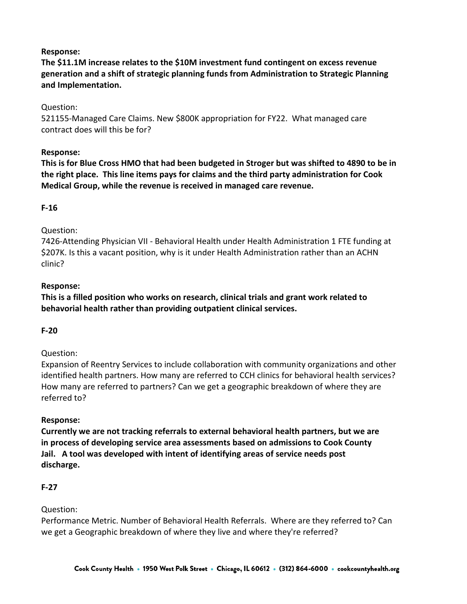**The \$11.1M increase relates to the \$10M investment fund contingent on excess revenue generation and a shift of strategic planning funds from Administration to Strategic Planning and Implementation.**

Question:

521155-Managed Care Claims. New \$800K appropriation for FY22. What managed care contract does will this be for?

### **Response:**

**This is for Blue Cross HMO that had been budgeted in Stroger but was shifted to 4890 to be in the right place. This line items pays for claims and the third party administration for Cook Medical Group, while the revenue is received in managed care revenue.**

### **F-16**

### Question:

7426-Attending Physician VII - Behavioral Health under Health Administration 1 FTE funding at \$207K. Is this a vacant position, why is it under Health Administration rather than an ACHN clinic?

### **Response:**

**This is a filled position who works on research, clinical trials and grant work related to behavorial health rather than providing outpatient clinical services.**

### **F-20**

### Question:

Expansion of Reentry Services to include collaboration with community organizations and other identified health partners. How many are referred to CCH clinics for behavioral health services? How many are referred to partners? Can we get a geographic breakdown of where they are referred to?

### **Response:**

**Currently we are not tracking referrals to external behavioral health partners, but we are in process of developing service area assessments based on admissions to Cook County Jail. A tool was developed with intent of identifying areas of service needs post discharge.**

#### **F-27**

### Question:

Performance Metric. Number of Behavioral Health Referrals. Where are they referred to? Can we get a Geographic breakdown of where they live and where they're referred?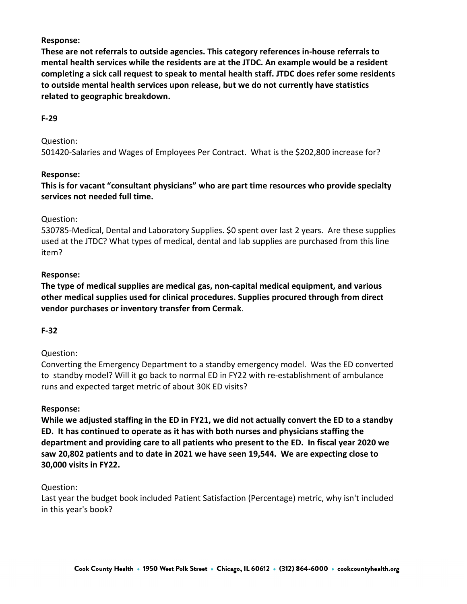**These are not referrals to outside agencies. This category references in-house referrals to mental health services while the residents are at the JTDC. An example would be a resident completing a sick call request to speak to mental health staff. JTDC does refer some residents to outside mental health services upon release, but we do not currently have statistics related to geographic breakdown.**

### **F-29**

Question:

501420-Salaries and Wages of Employees Per Contract. What is the \$202,800 increase for?

### **Response:**

**This is for vacant "consultant physicians" who are part time resources who provide specialty services not needed full time.**

### Question:

530785-Medical, Dental and Laboratory Supplies. \$0 spent over last 2 years. Are these supplies used at the JTDC? What types of medical, dental and lab supplies are purchased from this line item?

### **Response:**

**The type of medical supplies are medical gas, non-capital medical equipment, and various other medical supplies used for clinical procedures. Supplies procured through from direct vendor purchases or inventory transfer from Cermak**.

### **F-32**

### Question:

Converting the Emergency Department to a standby emergency model. Was the ED converted to standby model? Will it go back to normal ED in FY22 with re-establishment of ambulance runs and expected target metric of about 30K ED visits?

#### **Response:**

**While we adjusted staffing in the ED in FY21, we did not actually convert the ED to a standby ED. It has continued to operate as it has with both nurses and physicians staffing the department and providing care to all patients who present to the ED. In fiscal year 2020 we saw 20,802 patients and to date in 2021 we have seen 19,544. We are expecting close to 30,000 visits in FY22.**

#### Question:

Last year the budget book included Patient Satisfaction (Percentage) metric, why isn't included in this year's book?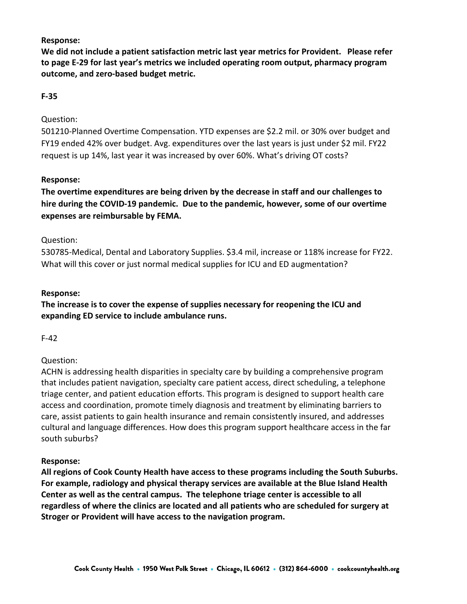**We did not include a patient satisfaction metric last year metrics for Provident. Please refer to page E-29 for last year's metrics we included operating room output, pharmacy program outcome, and zero-based budget metric.** 

### **F-35**

### Question:

501210-Planned Overtime Compensation. YTD expenses are \$2.2 mil. or 30% over budget and FY19 ended 42% over budget. Avg. expenditures over the last years is just under \$2 mil. FY22 request is up 14%, last year it was increased by over 60%. What's driving OT costs?

### **Response:**

**The overtime expenditures are being driven by the decrease in staff and our challenges to hire during the COVID-19 pandemic. Due to the pandemic, however, some of our overtime expenses are reimbursable by FEMA.** 

### Question:

530785-Medical, Dental and Laboratory Supplies. \$3.4 mil, increase or 118% increase for FY22. What will this cover or just normal medical supplies for ICU and ED augmentation?

### **Response:**

**The increase is to cover the expense of supplies necessary for reopening the ICU and expanding ED service to include ambulance runs.** 

F-42

# Question:

ACHN is addressing health disparities in specialty care by building a comprehensive program that includes patient navigation, specialty care patient access, direct scheduling, a telephone triage center, and patient education efforts. This program is designed to support health care access and coordination, promote timely diagnosis and treatment by eliminating barriers to care, assist patients to gain health insurance and remain consistently insured, and addresses cultural and language differences. How does this program support healthcare access in the far south suburbs?

### **Response:**

**All regions of Cook County Health have access to these programs including the South Suburbs. For example, radiology and physical therapy services are available at the Blue Island Health Center as well as the central campus. The telephone triage center is accessible to all regardless of where the clinics are located and all patients who are scheduled for surgery at Stroger or Provident will have access to the navigation program.**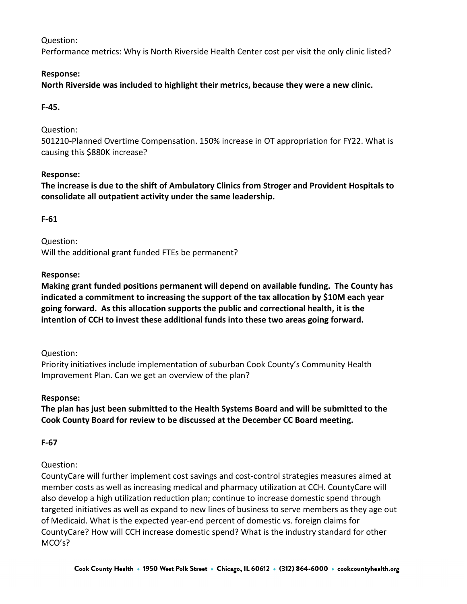Performance metrics: Why is North Riverside Health Center cost per visit the only clinic listed?

# **Response:**

**North Riverside was included to highlight their metrics, because they were a new clinic.**

# **F-45.**

Question:

501210-Planned Overtime Compensation. 150% increase in OT appropriation for FY22. What is causing this \$880K increase?

### **Response:**

**The increase is due to the shift of Ambulatory Clinics from Stroger and Provident Hospitals to consolidate all outpatient activity under the same leadership.**

# **F-61**

Question: Will the additional grant funded FTEs be permanent?

### **Response:**

**Making grant funded positions permanent will depend on available funding. The County has indicated a commitment to increasing the support of the tax allocation by \$10M each year going forward. As this allocation supports the public and correctional health, it is the intention of CCH to invest these additional funds into these two areas going forward.** 

Question:

Priority initiatives include implementation of suburban Cook County's Community Health Improvement Plan. Can we get an overview of the plan?

# **Response:**

**The plan has just been submitted to the Health Systems Board and will be submitted to the Cook County Board for review to be discussed at the December CC Board meeting.**

# **F-67**

# Question:

CountyCare will further implement cost savings and cost-control strategies measures aimed at member costs as well as increasing medical and pharmacy utilization at CCH. CountyCare will also develop a high utilization reduction plan; continue to increase domestic spend through targeted initiatives as well as expand to new lines of business to serve members as they age out of Medicaid. What is the expected year-end percent of domestic vs. foreign claims for CountyCare? How will CCH increase domestic spend? What is the industry standard for other MCO's?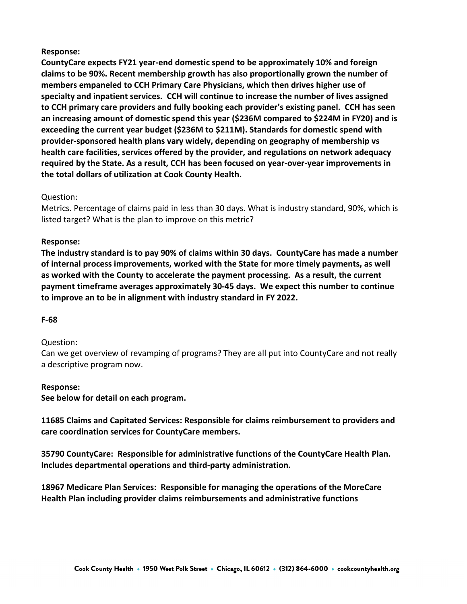**CountyCare expects FY21 year-end domestic spend to be approximately 10% and foreign claims to be 90%. Recent membership growth has also proportionally grown the number of members empaneled to CCH Primary Care Physicians, which then drives higher use of specialty and inpatient services. CCH will continue to increase the number of lives assigned to CCH primary care providers and fully booking each provider's existing panel. CCH has seen an increasing amount of domestic spend this year (\$236M compared to \$224M in FY20) and is exceeding the current year budget (\$236M to \$211M). Standards for domestic spend with provider-sponsored health plans vary widely, depending on geography of membership vs health care facilities, services offered by the provider, and regulations on network adequacy required by the State. As a result, CCH has been focused on year-over-year improvements in the total dollars of utilization at Cook County Health.**

### Question:

Metrics. Percentage of claims paid in less than 30 days. What is industry standard, 90%, which is listed target? What is the plan to improve on this metric?

### **Response:**

**The industry standard is to pay 90% of claims within 30 days. CountyCare has made a number of internal process improvements, worked with the State for more timely payments, as well as worked with the County to accelerate the payment processing. As a result, the current payment timeframe averages approximately 30-45 days. We expect this number to continue to improve an to be in alignment with industry standard in FY 2022.**

#### **F-68**

### Question:

Can we get overview of revamping of programs? They are all put into CountyCare and not really a descriptive program now.

#### **Response:**

**See below for detail on each program.**

**11685 Claims and Capitated Services: Responsible for claims reimbursement to providers and care coordination services for CountyCare members.**

**35790 CountyCare: Responsible for administrative functions of the CountyCare Health Plan. Includes departmental operations and third-party administration.**

**18967 Medicare Plan Services: Responsible for managing the operations of the MoreCare Health Plan including provider claims reimbursements and administrative functions**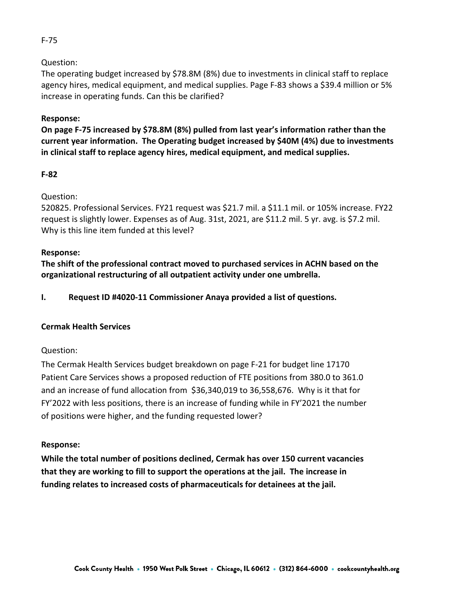The operating budget increased by \$78.8M (8%) due to investments in clinical staff to replace agency hires, medical equipment, and medical supplies. Page F-83 shows a \$39.4 million or 5% increase in operating funds. Can this be clarified?

# **Response:**

**On page F-75 increased by \$78.8M (8%) pulled from last year's information rather than the current year information. The Operating budget increased by \$40M (4%) due to investments in clinical staff to replace agency hires, medical equipment, and medical supplies.**

### **F-82**

### Question:

520825. Professional Services. FY21 request was \$21.7 mil. a \$11.1 mil. or 105% increase. FY22 request is slightly lower. Expenses as of Aug. 31st, 2021, are \$11.2 mil. 5 yr. avg. is \$7.2 mil. Why is this line item funded at this level?

### **Response:**

**The shift of the professional contract moved to purchased services in ACHN based on the organizational restructuring of all outpatient activity under one umbrella.**

**I. Request ID #4020-11 Commissioner Anaya provided a list of questions.**

# **Cermak Health Services**

### Question:

The Cermak Health Services budget breakdown on page F-21 for budget line 17170 Patient Care Services shows a proposed reduction of FTE positions from 380.0 to 361.0 and an increase of fund allocation from \$36,340,019 to 36,558,676. Why is it that for FY'2022 with less positions, there is an increase of funding while in FY'2021 the number of positions were higher, and the funding requested lower?

### **Response:**

**While the total number of positions declined, Cermak has over 150 current vacancies that they are working to fill to support the operations at the jail. The increase in funding relates to increased costs of pharmaceuticals for detainees at the jail.**

### F-75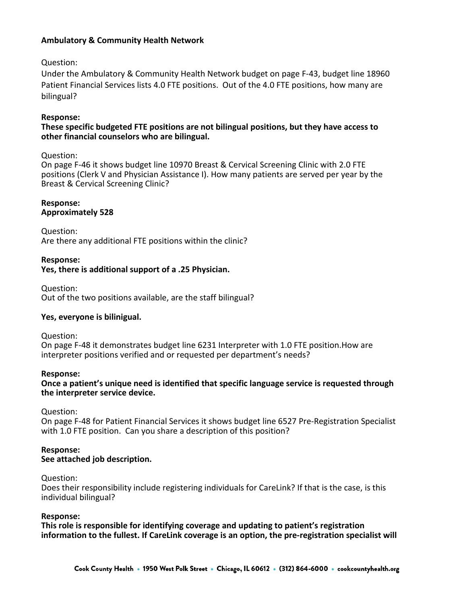### **Ambulatory & Community Health Network**

### Question:

Under the Ambulatory & Community Health Network budget on page F-43, budget line 18960 Patient Financial Services lists 4.0 FTE positions. Out of the 4.0 FTE positions, how many are bilingual?

### **Response:**

### **These specific budgeted FTE positions are not bilingual positions, but they have access to other financial counselors who are bilingual.**

### Question:

On page F-46 it shows budget line 10970 Breast & Cervical Screening Clinic with 2.0 FTE positions (Clerk V and Physician Assistance I). How many patients are served per year by the Breast & Cervical Screening Clinic?

#### **Response: Approximately 528**

Question: Are there any additional FTE positions within the clinic?

### **Response:**

### **Yes, there is additional support of a .25 Physician.**

Question: Out of the two positions available, are the staff bilingual?

### **Yes, everyone is bilinigual.**

Question:

On page F-48 it demonstrates budget line 6231 Interpreter with 1.0 FTE position.How are interpreter positions verified and or requested per department's needs?

#### **Response:**

**Once a patient's unique need is identified that specific language service is requested through the interpreter service device.** 

Question:

On page F-48 for Patient Financial Services it shows budget line 6527 Pre-Registration Specialist with 1.0 FTE position. Can you share a description of this position?

#### **Response: See attached job description.**

### Question:

Does their responsibility include registering individuals for CareLink? If that is the case, is this individual bilingual?

#### **Response:**

**This role is responsible for identifying coverage and updating to patient's registration information to the fullest. If CareLink coverage is an option, the pre-registration specialist will**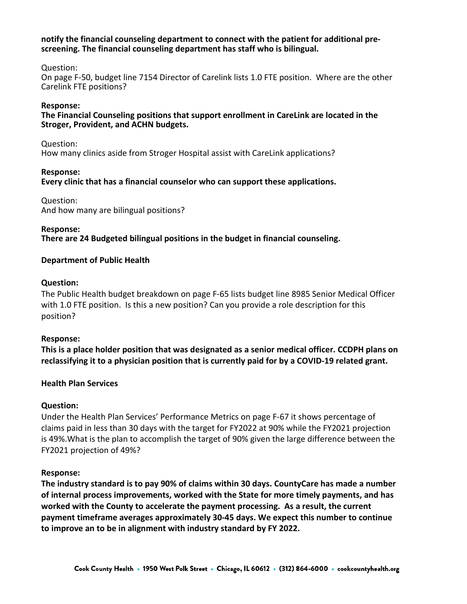#### **notify the financial counseling department to connect with the patient for additional prescreening. The financial counseling department has staff who is bilingual.**

### Question:

On page F-50, budget line 7154 Director of Carelink lists 1.0 FTE position. Where are the other Carelink FTE positions?

#### **Response:**

### **The Financial Counseling positions that support enrollment in CareLink are located in the Stroger, Provident, and ACHN budgets.**

#### Question:

How many clinics aside from Stroger Hospital assist with CareLink applications?

### **Response:**

**Every clinic that has a financial counselor who can support these applications.**

Question: And how many are bilingual positions?

#### **Response:**

**There are 24 Budgeted bilingual positions in the budget in financial counseling.**

### **Department of Public Health**

### **Question:**

The Public Health budget breakdown on page F-65 lists budget line 8985 Senior Medical Officer with 1.0 FTE position. Is this a new position? Can you provide a role description for this position?

### **Response:**

**This is a place holder position that was designated as a senior medical officer. CCDPH plans on reclassifying it to a physician position that is currently paid for by a COVID-19 related grant.**

### **Health Plan Services**

### **Question:**

Under the Health Plan Services' Performance Metrics on page F-67 it shows percentage of claims paid in less than 30 days with the target for FY2022 at 90% while the FY2021 projection is 49%.What is the plan to accomplish the target of 90% given the large difference between the FY2021 projection of 49%?

### **Response:**

**The industry standard is to pay 90% of claims within 30 days. CountyCare has made a number of internal process improvements, worked with the State for more timely payments, and has worked with the County to accelerate the payment processing. As a result, the current payment timeframe averages approximately 30-45 days. We expect this number to continue to improve an to be in alignment with industry standard by FY 2022.**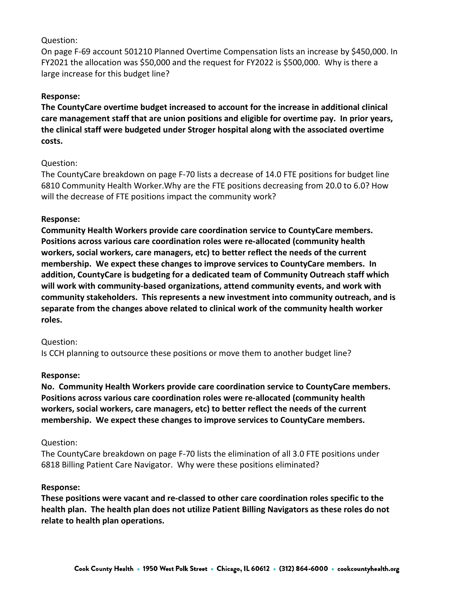On page F-69 account 501210 Planned Overtime Compensation lists an increase by \$450,000. In FY2021 the allocation was \$50,000 and the request for FY2022 is \$500,000. Why is there a large increase for this budget line?

### **Response:**

**The CountyCare overtime budget increased to account for the increase in additional clinical care management staff that are union positions and eligible for overtime pay. In prior years, the clinical staff were budgeted under Stroger hospital along with the associated overtime costs.**

### Question:

The CountyCare breakdown on page F-70 lists a decrease of 14.0 FTE positions for budget line 6810 Community Health Worker.Why are the FTE positions decreasing from 20.0 to 6.0? How will the decrease of FTE positions impact the community work?

### **Response:**

**Community Health Workers provide care coordination service to CountyCare members. Positions across various care coordination roles were re-allocated (community health workers, social workers, care managers, etc) to better reflect the needs of the current membership. We expect these changes to improve services to CountyCare members. In addition, CountyCare is budgeting for a dedicated team of Community Outreach staff which will work with community-based organizations, attend community events, and work with community stakeholders. This represents a new investment into community outreach, and is separate from the changes above related to clinical work of the community health worker roles.**

### Question:

Is CCH planning to outsource these positions or move them to another budget line?

### **Response:**

**No. Community Health Workers provide care coordination service to CountyCare members. Positions across various care coordination roles were re-allocated (community health workers, social workers, care managers, etc) to better reflect the needs of the current membership. We expect these changes to improve services to CountyCare members.**

### Question:

The CountyCare breakdown on page F-70 lists the elimination of all 3.0 FTE positions under 6818 Billing Patient Care Navigator. Why were these positions eliminated?

### **Response:**

**These positions were vacant and re-classed to other care coordination roles specific to the health plan. The health plan does not utilize Patient Billing Navigators as these roles do not relate to health plan operations.**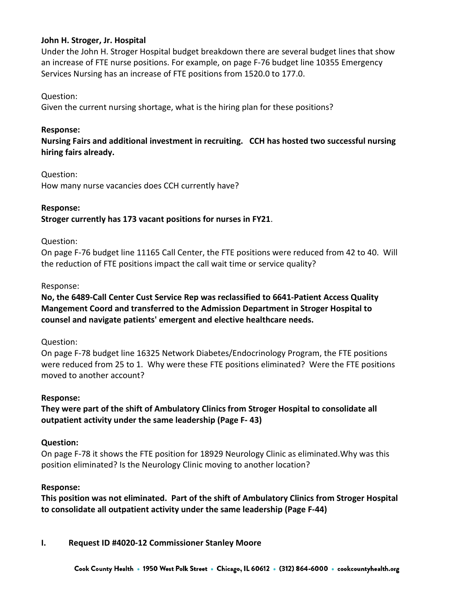### **John H. Stroger, Jr. Hospital**

Under the John H. Stroger Hospital budget breakdown there are several budget lines that show an increase of FTE nurse positions. For example, on page F-76 budget line 10355 Emergency Services Nursing has an increase of FTE positions from 1520.0 to 177.0.

### Question:

Given the current nursing shortage, what is the hiring plan for these positions?

### **Response:**

**Nursing Fairs and additional investment in recruiting. CCH has hosted two successful nursing hiring fairs already.**

### Question:

How many nurse vacancies does CCH currently have?

### **Response:**

**Stroger currently has 173 vacant positions for nurses in FY21**.

### Question:

On page F-76 budget line 11165 Call Center, the FTE positions were reduced from 42 to 40.Will the reduction of FTE positions impact the call wait time or service quality?

### Response:

# **No, the 6489-Call Center Cust Service Rep was reclassified to 6641-Patient Access Quality Mangement Coord and transferred to the Admission Department in Stroger Hospital to counsel and navigate patients' emergent and elective healthcare needs.**

### Question:

On page F-78 budget line 16325 Network Diabetes/Endocrinology Program, the FTE positions were reduced from 25 to 1. Why were these FTE positions eliminated? Were the FTE positions moved to another account?

### **Response:**

**They were part of the shift of Ambulatory Clinics from Stroger Hospital to consolidate all outpatient activity under the same leadership (Page F- 43)**

### **Question:**

On page F-78 it shows the FTE position for 18929 Neurology Clinic as eliminated.Why was this position eliminated? Is the Neurology Clinic moving to another location?

### **Response:**

**This position was not eliminated. Part of the shift of Ambulatory Clinics from Stroger Hospital to consolidate all outpatient activity under the same leadership (Page F-44)**

### **I. Request ID #4020-12 Commissioner Stanley Moore**